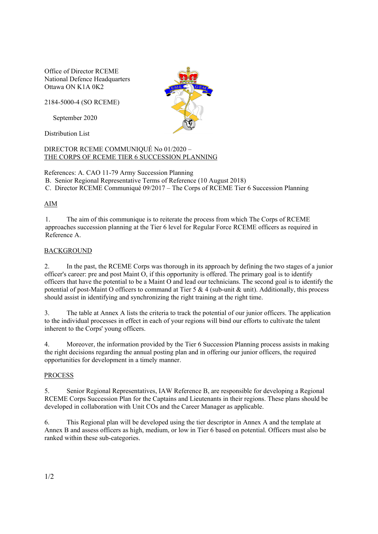Office of Director RCEME National Defence Headquarters Ottawa ON K1A 0K2

2184-5000-4 (SO RCEME)

September 2020

Distribution List

DIRECTOR RCEME COMMUNIQUÉ No 01/2020 – THE CORPS OF RCEME TIER 6 SUCCESSION PLANNING

References: A. CAO 11-79 Army Succession Planning

B. Senior Regional Representative Terms of Reference (10 August 2018)

C. Director RCEME Communiqué 09/2017 – The Corps of RCEME Tier 6 Succession Planning

# AIM

1. The aim of this communique is to reiterate the process from which The Corps of RCEME approaches succession planning at the Tier 6 level for Regular Force RCEME officers as required in Reference A.

## BACKGROUND

2. In the past, the RCEME Corps was thorough in its approach by defining the two stages of a junior officer's career: pre and post Maint O, if this opportunity is offered. The primary goal is to identify officers that have the potential to be a Maint O and lead our technicians. The second goal is to identify the potential of post-Maint O officers to command at Tier 5 & 4 (sub-unit & unit). Additionally, this process should assist in identifying and synchronizing the right training at the right time.

3. The table at Annex A lists the criteria to track the potential of our junior officers. The application to the individual processes in effect in each of your regions will bind our efforts to cultivate the talent inherent to the Corps' young officers.

4. Moreover, the information provided by the Tier 6 Succession Planning process assists in making the right decisions regarding the annual posting plan and in offering our junior officers, the required opportunities for development in a timely manner.

### PROCESS

5. Senior Regional Representatives, IAW Reference B, are responsible for developing a Regional RCEME Corps Succession Plan for the Captains and Lieutenants in their regions. These plans should be developed in collaboration with Unit COs and the Career Manager as applicable.

6. This Regional plan will be developed using the tier descriptor in Annex A and the template at Annex B and assess officers as high, medium, or low in Tier 6 based on potential. Officers must also be ranked within these sub-categories.

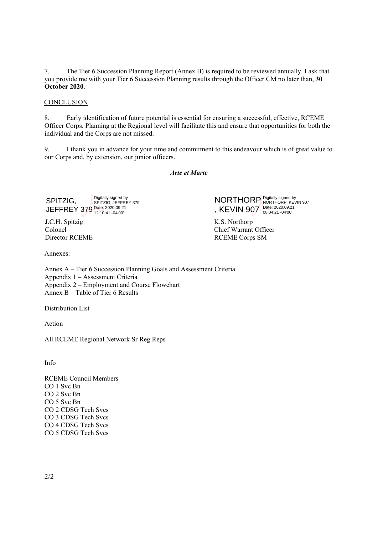7. The Tier 6 Succession Planning Report (Annex B) is required to be reviewed annually. I ask that you provide me with your Tier 6 Succession Planning results through the Officer CM no later than, **30 October 2020**.

## **CONCLUSION**

8. Early identification of future potential is essential for ensuring a successful, effective, RCEME Officer Corps. Planning at the Regional level will facilitate this and ensure that opportunities for both the individual and the Corps are not missed.

9. I thank you in advance for your time and commitment to this endeavour which is of great value to our Corps and, by extension, our junior officers.

### *Arte et Marte*

SPITZIG, JEFFREY 379 Date: 2020.09.21 12:10:41 -04'00' Digitally signed by SPITZIG, JEFFREY 379

J.C.H. Spitzig Colonel Director RCEME **NORTHORP** , KEVIN 907 Digitally signed by NORTHORP, KEVIN 907 Date: 2020.09.21 08:04:21 -04'00'

K.S. Northorp Chief Warrant Officer RCEME Corps SM

Annexes:

Annex A – Tier 6 Succession Planning Goals and Assessment Criteria Appendix 1 – Assessment Criteria Appendix 2 – Employment and Course Flowchart Annex B – Table of Tier 6 Results

Distribution List

Action

All RCEME Regional Network Sr Reg Reps

Info

RCEME Council Members CO 1 Svc Bn CO 2 Svc Bn CO 5 Svc Bn CO 2 CDSG Tech Svcs CO 3 CDSG Tech Svcs CO 4 CDSG Tech Svcs CO 5 CDSG Tech Svcs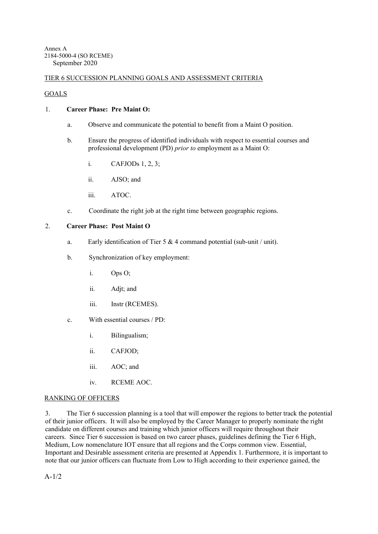# TIER 6 SUCCESSION PLANNING GOALS AND ASSESSMENT CRITERIA

# **GOALS**

## 1. **Career Phase: Pre Maint O:**

- a. Observe and communicate the potential to benefit from a Maint O position.
- b. Ensure the progress of identified individuals with respect to essential courses and professional development (PD) *prior to* employment as a Maint O:
	- i. CAFJODs 1, 2, 3;
	- ii. AJSO; and
	- iii. ATOC.
- c. Coordinate the right job at the right time between geographic regions.

## 2. **Career Phase: Post Maint O**

- a. Early identification of Tier 5  $&$  4 command potential (sub-unit / unit).
- b. Synchronization of key employment:
	- i. Ops O;
	- ii. Adjt; and
	- iii. Instr (RCEMES).
- c. With essential courses / PD:
	- i. Bilingualism;
	- ii. CAFJOD;
	- iii. AOC; and
	- iv. RCEME AOC.

# RANKING OF OFFICERS

3. The Tier 6 succession planning is a tool that will empower the regions to better track the potential of their junior officers. It will also be employed by the Career Manager to properly nominate the right candidate on different courses and training which junior officers will require throughout their careers. Since Tier 6 succession is based on two career phases, guidelines defining the Tier 6 High, Medium, Low nomenclature IOT ensure that all regions and the Corps common view. Essential, Important and Desirable assessment criteria are presented at Appendix 1. Furthermore, it is important to note that our junior officers can fluctuate from Low to High according to their experience gained, the

A-1/2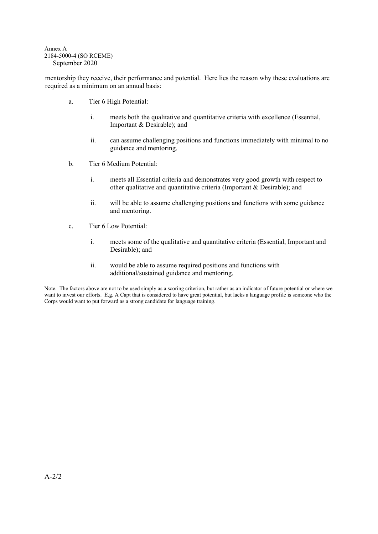#### Annex A 2184-5000-4 (SO RCEME) September 2020

mentorship they receive, their performance and potential. Here lies the reason why these evaluations are required as a minimum on an annual basis:

- a. Tier 6 High Potential:
	- i. meets both the qualitative and quantitative criteria with excellence (Essential, Important & Desirable); and
	- ii. can assume challenging positions and functions immediately with minimal to no guidance and mentoring.
- b. Tier 6 Medium Potential:
	- i. meets all Essential criteria and demonstrates very good growth with respect to other qualitative and quantitative criteria (Important & Desirable); and
	- ii. will be able to assume challenging positions and functions with some guidance and mentoring.
- c. Tier 6 Low Potential:
	- i. meets some of the qualitative and quantitative criteria (Essential, Important and Desirable); and
	- ii. would be able to assume required positions and functions with additional/sustained guidance and mentoring.

Note. The factors above are not to be used simply as a scoring criterion, but rather as an indicator of future potential or where we want to invest our efforts. E.g. A Capt that is considered to have great potential, but lacks a language profile is someone who the Corps would want to put forward as a strong candidate for language training.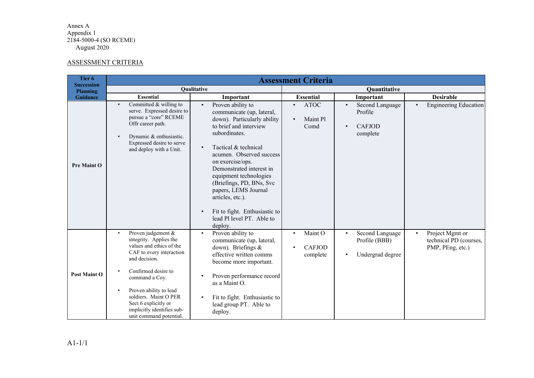#### Annex A Appendix 1 2184-5000-4 (SO RCEME) August 2020

#### ASSESSMENT CRITERIA

| Tier <sub>6</sub><br><b>Succession</b><br><b>Planning</b> | <b>Assessment Criteria</b>                                                                                                                                                                                                                                                                                      |                                                                                                                                                                                                                                                                                                                                                                                                                      |                                                                |                                                                      |                                                                            |
|-----------------------------------------------------------|-----------------------------------------------------------------------------------------------------------------------------------------------------------------------------------------------------------------------------------------------------------------------------------------------------------------|----------------------------------------------------------------------------------------------------------------------------------------------------------------------------------------------------------------------------------------------------------------------------------------------------------------------------------------------------------------------------------------------------------------------|----------------------------------------------------------------|----------------------------------------------------------------------|----------------------------------------------------------------------------|
|                                                           | Qualitative                                                                                                                                                                                                                                                                                                     |                                                                                                                                                                                                                                                                                                                                                                                                                      | Quantitative                                                   |                                                                      |                                                                            |
| <b>Guidance</b>                                           | <b>Essential</b>                                                                                                                                                                                                                                                                                                | Important                                                                                                                                                                                                                                                                                                                                                                                                            | <b>Essential</b>                                               | Important                                                            | <b>Desirable</b>                                                           |
| <b>Pre Maint O</b>                                        | Committed $&$ willing to<br>$\bullet$<br>serve. Expressed desire to<br>pursue a "core" RCEME<br>Offr career path.<br>Dynamic & enthusiastic.<br>Expressed desire to serve<br>and deploy with a Unit.                                                                                                            | Proven ability to<br>$\bullet$<br>communicate (up, lateral,<br>down). Particularly ability<br>to brief and interview<br>subordinates.<br>Tactical & technical<br>acumen. Observed success<br>on exercise/ops.<br>Demonstrated interest in<br>equipment technologies<br>(Briefings, PD, BNs, Svc<br>papers, LEMS Journal<br>articles, etc.).<br>Fit to fight. Enthusiastic to<br>lead Pl level PT. Able to<br>deploy. | <b>ATOC</b><br>Maint Pl<br>$\bullet$<br>Comd                   | Second Language<br>$\bullet$<br>Profile<br><b>CAFJOD</b><br>complete | <b>Engineering Education</b><br>$\bullet$                                  |
| <b>Post Maint O</b>                                       | Proven judgement &<br>$\bullet$<br>integrity. Applies the<br>values and ethics of the<br>CAF to every interaction<br>and decision.<br>Confirmed desire to<br>command a Coy.<br>Proven ability to lead<br>soldiers. Maint O PER<br>Sect 6 explicitly or<br>implicitly identifies sub-<br>unit command potential. | Proven ability to<br>$\bullet$<br>communicate (up, lateral,<br>down). Briefings &<br>effective written comms<br>become more important.<br>Proven performance record<br>as a Maint O.<br>Fit to fight. Enthusiastic to<br>lead group PT. Able to<br>deploy.                                                                                                                                                           | Maint O<br>$\bullet$<br><b>CAFJOD</b><br>$\bullet$<br>complete | Second Language<br>$\bullet$<br>Profile (BBB)<br>Undergrad degree    | Project Mgmt or<br>$\bullet$<br>technical PD (courses,<br>PMP, PEng, etc.) |